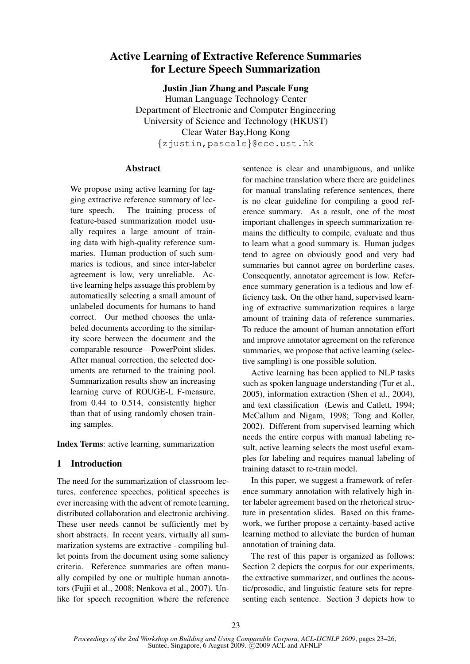# Active Learning of Extractive Reference Summaries for Lecture Speech Summarization

Justin Jian Zhang and Pascale Fung

Human Language Technology Center Department of Electronic and Computer Engineering University of Science and Technology (HKUST) Clear Water Bay,Hong Kong {zjustin,pascale}@ece.ust.hk

# Abstract

We propose using active learning for tagging extractive reference summary of lecture speech. The training process of feature-based summarization model usually requires a large amount of training data with high-quality reference summaries. Human production of such summaries is tedious, and since inter-labeler agreement is low, very unreliable. Active learning helps assuage this problem by automatically selecting a small amount of unlabeled documents for humans to hand correct. Our method chooses the unlabeled documents according to the similarity score between the document and the comparable resource—PowerPoint slides. After manual correction, the selected documents are returned to the training pool. Summarization results show an increasing learning curve of ROUGE-L F-measure, from 0.44 to 0.514, consistently higher than that of using randomly chosen training samples.

Index Terms: active learning, summarization

# 1 Introduction

The need for the summarization of classroom lectures, conference speeches, political speeches is ever increasing with the advent of remote learning, distributed collaboration and electronic archiving. These user needs cannot be sufficiently met by short abstracts. In recent years, virtually all summarization systems are extractive - compiling bullet points from the document using some saliency criteria. Reference summaries are often manually compiled by one or multiple human annotators (Fujii et al., 2008; Nenkova et al., 2007). Unlike for speech recognition where the reference sentence is clear and unambiguous, and unlike for machine translation where there are guidelines for manual translating reference sentences, there is no clear guideline for compiling a good reference summary. As a result, one of the most important challenges in speech summarization remains the difficulty to compile, evaluate and thus to learn what a good summary is. Human judges tend to agree on obviously good and very bad summaries but cannot agree on borderline cases. Consequently, annotator agreement is low. Reference summary generation is a tedious and low efficiency task. On the other hand, supervised learning of extractive summarization requires a large amount of training data of reference summaries. To reduce the amount of human annotation effort and improve annotator agreement on the reference summaries, we propose that active learning (selective sampling) is one possible solution.

Active learning has been applied to NLP tasks such as spoken language understanding (Tur et al., 2005), information extraction (Shen et al., 2004), and text classification (Lewis and Catlett, 1994; McCallum and Nigam, 1998; Tong and Koller, 2002). Different from supervised learning which needs the entire corpus with manual labeling result, active learning selects the most useful examples for labeling and requires manual labeling of training dataset to re-train model.

In this paper, we suggest a framework of reference summary annotation with relatively high inter labeler agreement based on the rhetorical structure in presentation slides. Based on this framework, we further propose a certainty-based active learning method to alleviate the burden of human annotation of training data.

The rest of this paper is organized as follows: Section 2 depicts the corpus for our experiments, the extractive summarizer, and outlines the acoustic/prosodic, and linguistic feature sets for representing each sentence. Section 3 depicts how to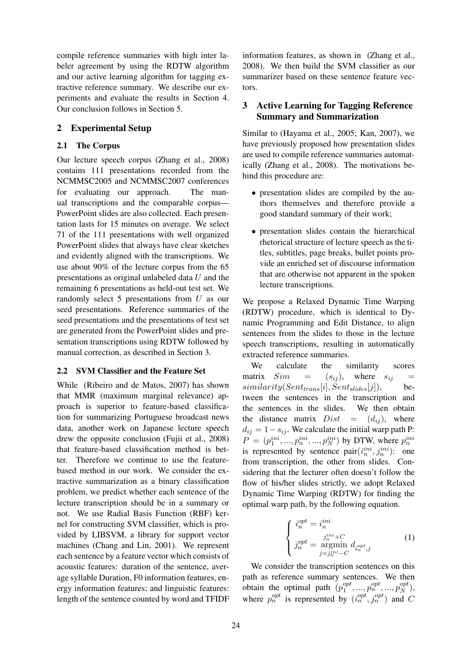compile reference summaries with high inter labeler agreement by using the RDTW algorithm and our active learning algorithm for tagging extractive reference summary. We describe our experiments and evaluate the results in Section 4. Our conclusion follows in Section 5.

# 2 Experimental Setup

## 2.1 The Corpus

Our lecture speech corpus (Zhang et al., 2008) contains 111 presentations recorded from the NCMMSC2005 and NCMMSC2007 conferences for evaluating our approach. The manual transcriptions and the comparable corpus— PowerPoint slides are also collected. Each presentation lasts for 15 minutes on average. We select 71 of the 111 presentations with well organized PowerPoint slides that always have clear sketches and evidently aligned with the transcriptions. We use about 90% of the lecture corpus from the 65 presentations as original unlabeled data  $U$  and the remaining 6 presentations as held-out test set. We randomly select 5 presentations from U as our seed presentations. Reference summaries of the seed presentations and the presentations of test set are generated from the PowerPoint slides and presentation transcriptions using RDTW followed by manual correction, as described in Section 3.

#### 2.2 SVM Classifier and the Feature Set

While (Ribeiro and de Matos, 2007) has shown that MMR (maximum marginal relevance) approach is superior to feature-based classification for summarizing Portuguese broadcast news data, another work on Japanese lecture speech drew the opposite conclusion (Fujii et al., 2008) that feature-based classification method is better. Therefore we continue to use the featurebased method in our work. We consider the extractive summarization as a binary classification problem, we predict whether each sentence of the lecture transcription should be in a summary or not. We use Radial Basis Function (RBF) kernel for constructing SVM classifier, which is provided by LIBSVM, a library for support vector machines (Chang and Lin, 2001). We represent each sentence by a feature vector which consists of acoustic features: duration of the sentence, average syllable Duration, F0 information features, energy information features; and linguistic features: length of the sentence counted by word and TFIDF

information features, as shown in (Zhang et al., 2008). We then build the SVM classifier as our summarizer based on these sentence feature vectors.

# 3 Active Learning for Tagging Reference Summary and Summarization

Similar to (Hayama et al., 2005; Kan, 2007), we have previously proposed how presentation slides are used to compile reference summaries automatically (Zhang et al., 2008). The motivations behind this procedure are:

- presentation slides are compiled by the authors themselves and therefore provide a good standard summary of their work;
- presentation slides contain the hierarchical rhetorical structure of lecture speech as the titles, subtitles, page breaks, bullet points provide an enriched set of discourse information that are otherwise not apparent in the spoken lecture transcriptions.

We propose a Relaxed Dynamic Time Warping (RDTW) procedure, which is identical to Dynamic Programming and Edit Distance, to align sentences from the slides to those in the lecture speech transcriptions, resulting in automatically extracted reference summaries.

We calculate the similarity scores matrix  $Sim = (s_{ij})$ , where  $s_{ij}$  =  $similarity(Sent_{trans}[i], Sent_{slices}[j]),$  between the sentences in the transcription and the sentences in the slides. We then obtain the distance matrix  $Dist = (d_{ij})$ , where  $d_{ij} = 1 - s_{ij}$ . We calculate the initial warp path P:  $P = (p_1^{ini}, ..., p_n^{ini}, ..., p_N^{ini})$  by DTW, where  $p_n^{ini}$ is represented by sentence  $\text{pair}(i_n^{ini}, j_n^{ini})$ : one from transcription, the other from slides. Considering that the lecturer often doesn't follow the flow of his/her slides strictly, we adopt Relaxed Dynamic Time Warping (RDTW) for finding the optimal warp path, by the following equation.

$$
\begin{cases}\ni_n^{opt} = i_n^{ini} \\
j_n^{opt} = \underset{j=j_n^{ini}-C}{\text{argmin}} d_{i_n^{opt},j}\n\end{cases} (1)
$$

We consider the transcription sentences on this path as reference summary sentences. We then obtain the optimal path  $(p_1^{opt}$  $p_1^{opt},...,p_N^{opt},...,p_N^{opt}$  $\binom{opt}{N},$ where  $p_n^{opt}$  is represented by  $(i_n^{opt}, j_n^{opt})$  and C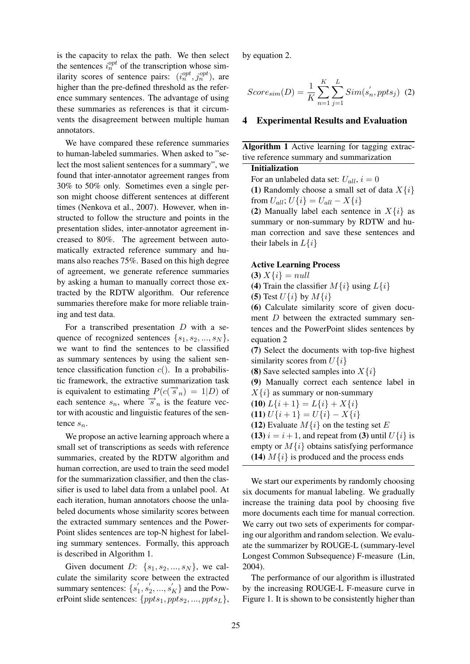is the capacity to relax the path. We then select the sentences  $i_n^{opt}$  of the transcription whose similarity scores of sentence pairs:  $(i_n^{opt}, j_n^{opt})$ , are higher than the pre-defined threshold as the reference summary sentences. The advantage of using these summaries as references is that it circumvents the disagreement between multiple human annotators.

We have compared these reference summaries to human-labeled summaries. When asked to "select the most salient sentences for a summary", we found that inter-annotator agreement ranges from 30% to 50% only. Sometimes even a single person might choose different sentences at different times (Nenkova et al., 2007). However, when instructed to follow the structure and points in the presentation slides, inter-annotator agreement increased to 80%. The agreement between automatically extracted reference summary and humans also reaches 75%. Based on this high degree of agreement, we generate reference summaries by asking a human to manually correct those extracted by the RDTW algorithm. Our reference summaries therefore make for more reliable training and test data.

For a transcribed presentation  $D$  with a sequence of recognized sentences  $\{s_1, s_2, ..., s_N\},\$ we want to find the sentences to be classified as summary sentences by using the salient sentence classification function  $c()$ . In a probabilistic framework, the extractive summarization task is equivalent to estimating  $P(c(\vec{s}_n) = 1|D)$  of each sentence  $s_n$ , where  $\vec{s}_n$  is the feature vector with acoustic and linguistic features of the sentence  $s_n$ .

We propose an active learning approach where a small set of transcriptions as seeds with reference summaries, created by the RDTW algorithm and human correction, are used to train the seed model for the summarization classifier, and then the classifier is used to label data from a unlabel pool. At each iteration, human annotators choose the unlabeled documents whose similarity scores between the extracted summary sentences and the Power-Point slides sentences are top-N highest for labeling summary sentences. Formally, this approach is described in Algorithm 1.

Given document  $D: \{s_1, s_2, ..., s_N\}$ , we calculate the similarity score between the extracted summary sentences:  $\{s'_1, s'_2, ..., s'_K\}$  and the PowerPoint slide sentences:  $\{pts_1,ppts_2, ..., ppts_L\},\$  by equation 2.

$$
Score_{sim}(D) = \frac{1}{K} \sum_{n=1}^{K} \sum_{j=1}^{L} Sim(s'_n, ppts_j) \tag{2}
$$

#### 4 Experimental Results and Evaluation

Algorithm 1 Active learning for tagging extractive reference summary and summarization

### Initialization

For an unlabeled data set:  $U_{all}$ ,  $i = 0$ 

(1) Randomly choose a small set of data  $X\{i\}$ from  $U_{all}$ ;  $U\{i\} = U_{all} - X\{i\}$ 

(2) Manually label each sentence in  $X\{i\}$  as summary or non-summary by RDTW and human correction and save these sentences and their labels in  $L\{i\}$ 

### Active Learning Process

(3)  $X\{i\} = null$ 

(4) Train the classifier  $M\{i\}$  using  $L\{i\}$ 

(5) Test  $U\{i\}$  by  $M\{i\}$ 

(6) Calculate similarity score of given document D between the extracted summary sentences and the PowerPoint slides sentences by equation 2

(7) Select the documents with top-five highest similarity scores from  $U\{i\}$ 

(8) Save selected samples into  $X\{i\}$ 

(9) Manually correct each sentence label in  $X\{i\}$  as summary or non-summary

**(10)** 
$$
L\{i+1\} = L\{i\} + X\{i\}
$$

(11)  $U\{i+1\} = U\{i\} - X\{i\}$ 

(12) Evaluate  $M\{i\}$  on the testing set E

(13)  $i = i + 1$ , and repeat from (3) until  $U\{i\}$  is empty or  $M\{i\}$  obtains satisfying performance (14)  $M\{i\}$  is produced and the process ends

We start our experiments by randomly choosing six documents for manual labeling. We gradually increase the training data pool by choosing five more documents each time for manual correction. We carry out two sets of experiments for comparing our algorithm and random selection. We evaluate the summarizer by ROUGE-L (summary-level Longest Common Subsequence) F-measure (Lin, 2004).

The performance of our algorithm is illustrated by the increasing ROUGE-L F-measure curve in Figure 1. It is shown to be consistently higher than